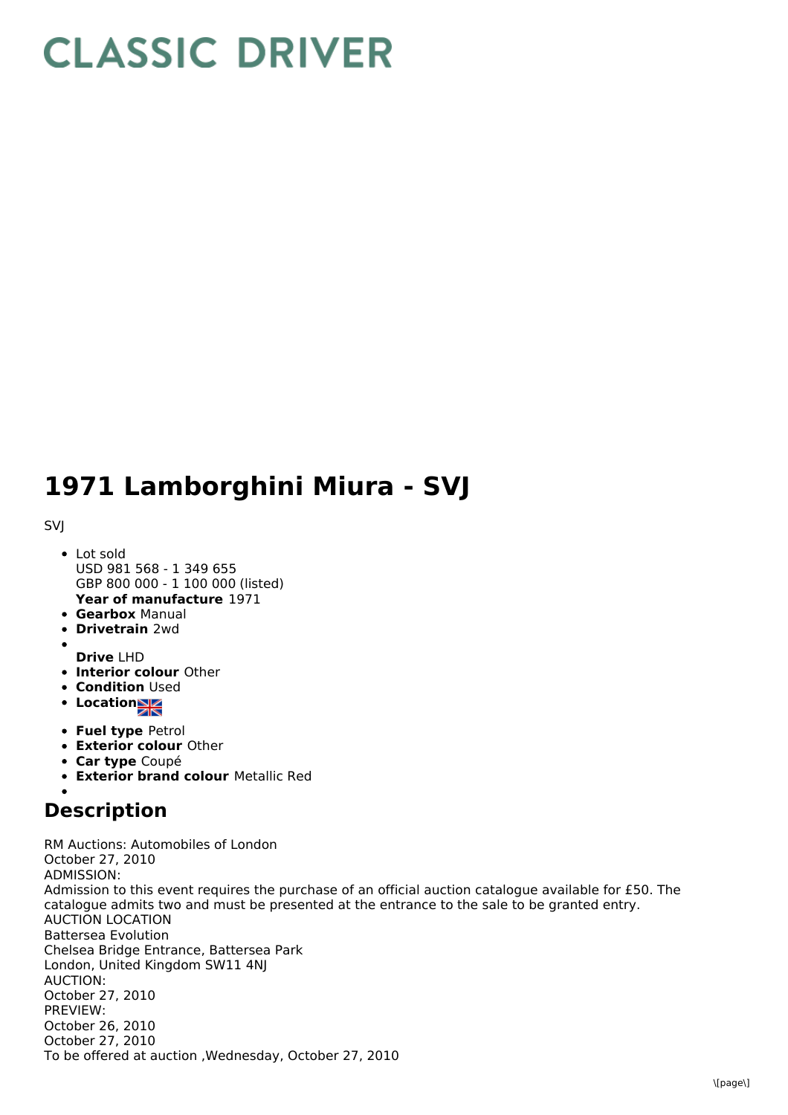## **CLASSIC DRIVER**

## **1971 Lamborghini Miura - SVJ**

SVJ

- **Year of manufacture** 1971 • Lot sold USD 981 568 - 1 349 655 GBP 800 000 - 1 100 000 (listed)
- **Gearbox** Manual
- **Drivetrain** 2wd
- **Drive** LHD
- **Interior colour** Other
- **Condition Used**
- Location
- **Fuel type** Petrol
- **Exterior colour** Other
- **Car type** Coupé
- **Exterior brand colour** Metallic Red

## **Description**

RM Auctions: Automobiles of London October 27, 2010 ADMISSION: Admission to this event requires the purchase of an official auction catalogue available for £50. The catalogue admits two and must be presented at the entrance to the sale to be granted entry. AUCTION LOCATION Battersea Evolution Chelsea Bridge Entrance, Battersea Park London, United Kingdom SW11 4NJ AUCTION: October 27, 2010 PREVIEW: October 26, 2010 October 27, 2010 To be offered at auction ,Wednesday, October 27, 2010